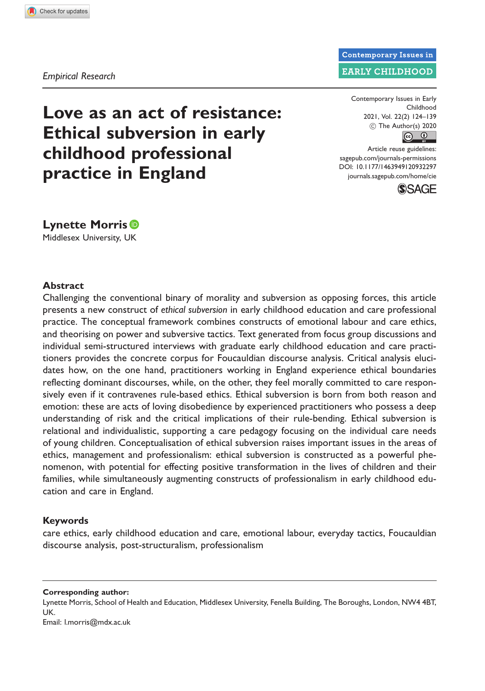Empirical Research

Love as an act of resistance: Ethical subversion in early childhood professional practice in England

Contemporary Issues in Early Childhood 2021, Vol. 22(2) 124–139 C The Author(s) 2020  $\circ$   $\circ$ 

**Contemporary Issues in EARLY CHILDHOOD** 

Article reuse guidelines: [sagepub.com/journals-permissions](http://uk.sagepub.com/en-gb/journals-permissions) [DOI: 10.1177/1463949120932297](http://dx.doi.org/10.1177/1463949120932297) journals.sagepub.com/home/cie



**Lynette Morris**<sup>®</sup> Middlesex University, UK

#### Abstract

Challenging the conventional binary of morality and subversion as opposing forces, this article presents a new construct of ethical subversion in early childhood education and care professional practice. The conceptual framework combines constructs of emotional labour and care ethics, and theorising on power and subversive tactics. Text generated from focus group discussions and individual semi-structured interviews with graduate early childhood education and care practitioners provides the concrete corpus for Foucauldian discourse analysis. Critical analysis elucidates how, on the one hand, practitioners working in England experience ethical boundaries reflecting dominant discourses, while, on the other, they feel morally committed to care responsively even if it contravenes rule-based ethics. Ethical subversion is born from both reason and emotion: these are acts of loving disobedience by experienced practitioners who possess a deep understanding of risk and the critical implications of their rule-bending. Ethical subversion is relational and individualistic, supporting a care pedagogy focusing on the individual care needs of young children. Conceptualisation of ethical subversion raises important issues in the areas of ethics, management and professionalism: ethical subversion is constructed as a powerful phenomenon, with potential for effecting positive transformation in the lives of children and their families, while simultaneously augmenting constructs of professionalism in early childhood education and care in England.

#### Keywords

care ethics, early childhood education and care, emotional labour, everyday tactics, Foucauldian discourse analysis, post-structuralism, professionalism

Corresponding author:

Lynette Morris, School of Health and Education, Middlesex University, Fenella Building, The Boroughs, London, NW4 4BT, UK.

Email: l.morris@mdx.ac.uk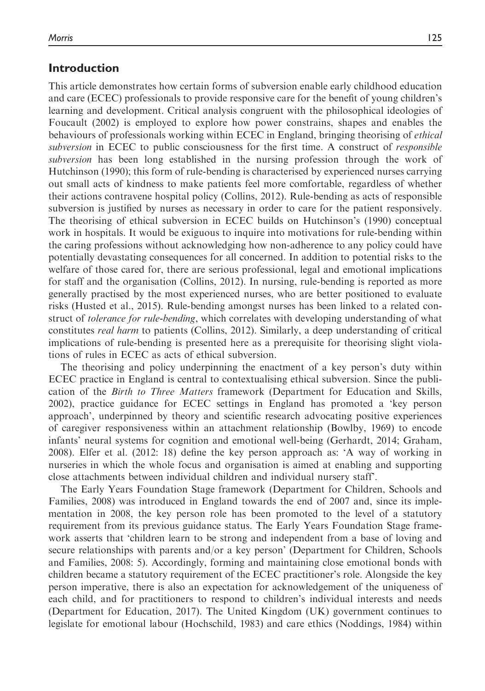### Introduction

This article demonstrates how certain forms of subversion enable early childhood education and care (ECEC) professionals to provide responsive care for the benefit of young children's learning and development. Critical analysis congruent with the philosophical ideologies of Foucault (2002) is employed to explore how power constrains, shapes and enables the behaviours of professionals working within ECEC in England, bringing theorising of *ethical* subversion in ECEC to public consciousness for the first time. A construct of *responsible* subversion has been long established in the nursing profession through the work of Hutchinson (1990); this form of rule-bending is characterised by experienced nurses carrying out small acts of kindness to make patients feel more comfortable, regardless of whether their actions contravene hospital policy (Collins, 2012). Rule-bending as acts of responsible subversion is justified by nurses as necessary in order to care for the patient responsively. The theorising of ethical subversion in ECEC builds on Hutchinson's (1990) conceptual work in hospitals. It would be exiguous to inquire into motivations for rule-bending within the caring professions without acknowledging how non-adherence to any policy could have potentially devastating consequences for all concerned. In addition to potential risks to the welfare of those cared for, there are serious professional, legal and emotional implications for staff and the organisation (Collins, 2012). In nursing, rule-bending is reported as more generally practised by the most experienced nurses, who are better positioned to evaluate risks (Husted et al., 2015). Rule-bending amongst nurses has been linked to a related construct of *tolerance for rule-bending*, which correlates with developing understanding of what constitutes real harm to patients (Collins, 2012). Similarly, a deep understanding of critical implications of rule-bending is presented here as a prerequisite for theorising slight violations of rules in ECEC as acts of ethical subversion.

The theorising and policy underpinning the enactment of a key person's duty within ECEC practice in England is central to contextualising ethical subversion. Since the publication of the Birth to Three Matters framework (Department for Education and Skills, 2002), practice guidance for ECEC settings in England has promoted a 'key person approach', underpinned by theory and scientific research advocating positive experiences of caregiver responsiveness within an attachment relationship (Bowlby, 1969) to encode infants' neural systems for cognition and emotional well-being (Gerhardt, 2014; Graham, 2008). Elfer et al. (2012: 18) define the key person approach as: 'A way of working in nurseries in which the whole focus and organisation is aimed at enabling and supporting close attachments between individual children and individual nursery staff'.

The Early Years Foundation Stage framework (Department for Children, Schools and Families, 2008) was introduced in England towards the end of 2007 and, since its implementation in 2008, the key person role has been promoted to the level of a statutory requirement from its previous guidance status. The Early Years Foundation Stage framework asserts that 'children learn to be strong and independent from a base of loving and secure relationships with parents and/or a key person' (Department for Children, Schools and Families, 2008: 5). Accordingly, forming and maintaining close emotional bonds with children became a statutory requirement of the ECEC practitioner's role. Alongside the key person imperative, there is also an expectation for acknowledgement of the uniqueness of each child, and for practitioners to respond to children's individual interests and needs (Department for Education, 2017). The United Kingdom (UK) government continues to legislate for emotional labour (Hochschild, 1983) and care ethics (Noddings, 1984) within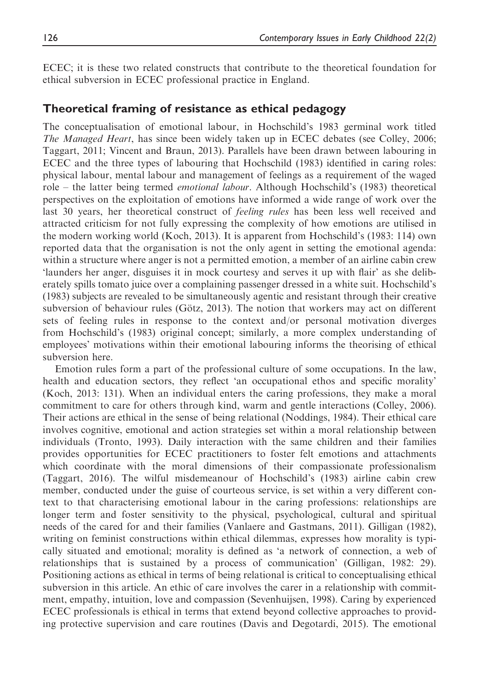ECEC; it is these two related constructs that contribute to the theoretical foundation for ethical subversion in ECEC professional practice in England.

## Theoretical framing of resistance as ethical pedagogy

The conceptualisation of emotional labour, in Hochschild's 1983 germinal work titled The Managed Heart, has since been widely taken up in ECEC debates (see Colley, 2006; Taggart, 2011; Vincent and Braun, 2013). Parallels have been drawn between labouring in ECEC and the three types of labouring that Hochschild (1983) identified in caring roles: physical labour, mental labour and management of feelings as a requirement of the waged role – the latter being termed emotional labour. Although Hochschild's (1983) theoretical perspectives on the exploitation of emotions have informed a wide range of work over the last 30 years, her theoretical construct of *feeling rules* has been less well received and attracted criticism for not fully expressing the complexity of how emotions are utilised in the modern working world (Koch, 2013). It is apparent from Hochschild's (1983: 114) own reported data that the organisation is not the only agent in setting the emotional agenda: within a structure where anger is not a permitted emotion, a member of an airline cabin crew 'launders her anger, disguises it in mock courtesy and serves it up with flair' as she deliberately spills tomato juice over a complaining passenger dressed in a white suit. Hochschild's (1983) subjects are revealed to be simultaneously agentic and resistant through their creative subversion of behaviour rules (Götz, 2013). The notion that workers may act on different sets of feeling rules in response to the context and/or personal motivation diverges from Hochschild's (1983) original concept; similarly, a more complex understanding of employees' motivations within their emotional labouring informs the theorising of ethical subversion here.

Emotion rules form a part of the professional culture of some occupations. In the law, health and education sectors, they reflect 'an occupational ethos and specific morality' (Koch, 2013: 131). When an individual enters the caring professions, they make a moral commitment to care for others through kind, warm and gentle interactions (Colley, 2006). Their actions are ethical in the sense of being relational (Noddings, 1984). Their ethical care involves cognitive, emotional and action strategies set within a moral relationship between individuals (Tronto, 1993). Daily interaction with the same children and their families provides opportunities for ECEC practitioners to foster felt emotions and attachments which coordinate with the moral dimensions of their compassionate professionalism (Taggart, 2016). The wilful misdemeanour of Hochschild's (1983) airline cabin crew member, conducted under the guise of courteous service, is set within a very different context to that characterising emotional labour in the caring professions: relationships are longer term and foster sensitivity to the physical, psychological, cultural and spiritual needs of the cared for and their families (Vanlaere and Gastmans, 2011). Gilligan (1982), writing on feminist constructions within ethical dilemmas, expresses how morality is typically situated and emotional; morality is defined as 'a network of connection, a web of relationships that is sustained by a process of communication' (Gilligan, 1982: 29). Positioning actions as ethical in terms of being relational is critical to conceptualising ethical subversion in this article. An ethic of care involves the carer in a relationship with commitment, empathy, intuition, love and compassion (Sevenhuijsen, 1998). Caring by experienced ECEC professionals is ethical in terms that extend beyond collective approaches to providing protective supervision and care routines (Davis and Degotardi, 2015). The emotional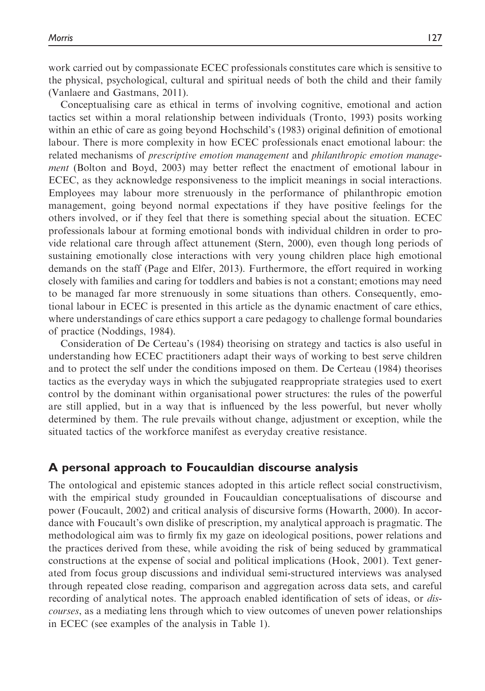work carried out by compassionate ECEC professionals constitutes care which is sensitive to the physical, psychological, cultural and spiritual needs of both the child and their family (Vanlaere and Gastmans, 2011).

Conceptualising care as ethical in terms of involving cognitive, emotional and action tactics set within a moral relationship between individuals (Tronto, 1993) posits working within an ethic of care as going beyond Hochschild's (1983) original definition of emotional labour. There is more complexity in how ECEC professionals enact emotional labour: the related mechanisms of prescriptive emotion management and philanthropic emotion management (Bolton and Boyd, 2003) may better reflect the enactment of emotional labour in ECEC, as they acknowledge responsiveness to the implicit meanings in social interactions. Employees may labour more strenuously in the performance of philanthropic emotion management, going beyond normal expectations if they have positive feelings for the others involved, or if they feel that there is something special about the situation. ECEC professionals labour at forming emotional bonds with individual children in order to provide relational care through affect attunement (Stern, 2000), even though long periods of sustaining emotionally close interactions with very young children place high emotional demands on the staff (Page and Elfer, 2013). Furthermore, the effort required in working closely with families and caring for toddlers and babies is not a constant; emotions may need to be managed far more strenuously in some situations than others. Consequently, emotional labour in ECEC is presented in this article as the dynamic enactment of care ethics, where understandings of care ethics support a care pedagogy to challenge formal boundaries of practice (Noddings, 1984).

Consideration of De Certeau's (1984) theorising on strategy and tactics is also useful in understanding how ECEC practitioners adapt their ways of working to best serve children and to protect the self under the conditions imposed on them. De Certeau (1984) theorises tactics as the everyday ways in which the subjugated reappropriate strategies used to exert control by the dominant within organisational power structures: the rules of the powerful are still applied, but in a way that is influenced by the less powerful, but never wholly determined by them. The rule prevails without change, adjustment or exception, while the situated tactics of the workforce manifest as everyday creative resistance.

### A personal approach to Foucauldian discourse analysis

The ontological and epistemic stances adopted in this article reflect social constructivism, with the empirical study grounded in Foucauldian conceptualisations of discourse and power (Foucault, 2002) and critical analysis of discursive forms (Howarth, 2000). In accordance with Foucault's own dislike of prescription, my analytical approach is pragmatic. The methodological aim was to firmly fix my gaze on ideological positions, power relations and the practices derived from these, while avoiding the risk of being seduced by grammatical constructions at the expense of social and political implications (Hook, 2001). Text generated from focus group discussions and individual semi-structured interviews was analysed through repeated close reading, comparison and aggregation across data sets, and careful recording of analytical notes. The approach enabled identification of sets of ideas, or *dis*courses, as a mediating lens through which to view outcomes of uneven power relationships in ECEC (see examples of the analysis in Table 1).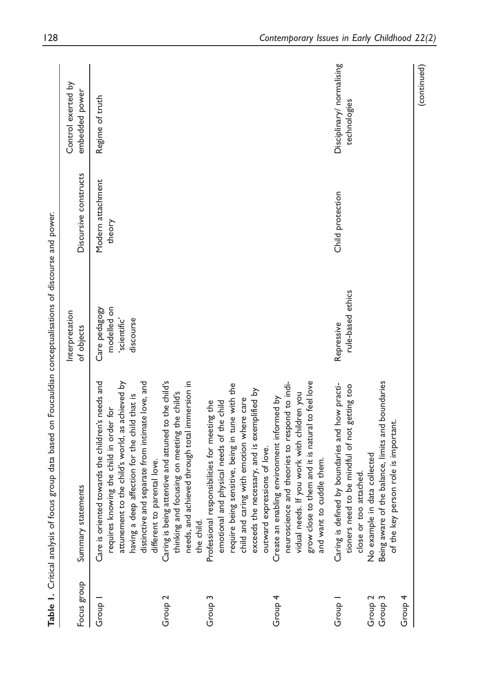|                                                  | Table 1. Critical analysis of focus group data based on Foucauldian conceptualisations of discourse and power.                                                                                                                                                                         |                                                           |                             |                                           |
|--------------------------------------------------|----------------------------------------------------------------------------------------------------------------------------------------------------------------------------------------------------------------------------------------------------------------------------------------|-----------------------------------------------------------|-----------------------------|-------------------------------------------|
| Focus group                                      | Summary statements                                                                                                                                                                                                                                                                     | Interpretation<br>of objects                              | Discursive constructs       | Control exerted by<br>embedded power      |
| Group 1                                          | Care is oriented towards the children's needs and<br>attunement to the child's world, as achieved by<br>distinctive and separate from intimate love, and<br>having a deep affection for the child that is<br>requires knowing the child in order for<br>parental love.<br>different to | modelled on<br>Care pedagogy<br>'scientific'<br>discourse | Modern attachment<br>theory | Regime of truth                           |
| Group <sub>2</sub>                               | Caring is being attentive and attuned to the child's<br>thinking and focusing on meeting the child's<br>needs, and achieved through total immersion in<br>the child.                                                                                                                   |                                                           |                             |                                           |
| Group <sub>3</sub>                               | require being sensitive, being in tune with the<br>exceeds the necessary, and is exemplified by<br>child and caring with emotion where care<br>Professional responsibilities for meeting the<br>emotional and physical needs of the child<br>outward expressions of love.              |                                                           |                             |                                           |
| Group 4                                          | neuroscience and theories to respond to indi-<br>grow close to them and it is natural to feel love<br>vidual needs. If you work with children you<br>Create an enabling environment informed by<br>cuddle them.<br>and want to                                                         |                                                           |                             |                                           |
| Group 4<br>Group 2<br>Group 3<br>Group<br>Group: | Being aware of the balance, limits and boundaries<br>Caring is defined by boundaries and how practi-<br>to be mindful of not getting too<br>of the key person role is important.<br>data collected<br>attached.<br>tioners need<br>close or too<br>No example in                       | rule-based ethics<br>Repressive                           | Child protection            | Disciplinary/ normalising<br>technologies |
|                                                  |                                                                                                                                                                                                                                                                                        |                                                           |                             | (continued)                               |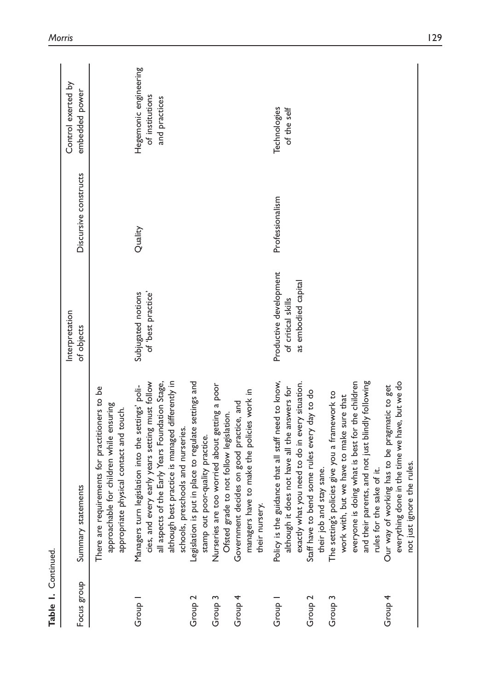| Table 1. Continued. |                                                                                                                                                                                                                                                     |                                                                     |                       |                                                           |
|---------------------|-----------------------------------------------------------------------------------------------------------------------------------------------------------------------------------------------------------------------------------------------------|---------------------------------------------------------------------|-----------------------|-----------------------------------------------------------|
| Focus group         | Summary statements                                                                                                                                                                                                                                  | Interpretation<br>of objects                                        | Discursive constructs | Control exerted by<br>embedded power                      |
|                     | There are requirements for practitioners to be<br>approachable for children while ensuring<br>appropriate physical contact and touch.                                                                                                               |                                                                     |                       |                                                           |
| Group               | although best practice is managed differently in<br>cies, and every early years setting must follow<br>all aspects of the Early Years Foundation Stage,<br>Managers turn legislation into the settings' poli-<br>schools, preschools and nurseries. | Subjugated notions<br>of 'best practice'                            | Quality               | Hegemonic engineering<br>of institutions<br>and practices |
| Group <sub>2</sub>  | Legislation is put in place to regulate settings and<br>stamp out poor-quality practice.                                                                                                                                                            |                                                                     |                       |                                                           |
| Group <sub>3</sub>  | e too worried about getting a poor<br>Ofsted grade to not follow legislation.<br>Nurseries ar                                                                                                                                                       |                                                                     |                       |                                                           |
| Group 4             | managers have to make the policies work in<br>Government decides on good practice, and<br>their nursery.                                                                                                                                            |                                                                     |                       |                                                           |
| Group               | guidance that all staff need to know,<br>exactly what you need to do in every situation.<br>although it does not have all the answers for<br>Policy is the                                                                                          | Productive development<br>as embodied capital<br>of critical skills | Professionalism       | Technologies<br>of the self                               |
| Group <sub>2</sub>  | Staff have to bend some rules every day to do<br>their job and stay sane.                                                                                                                                                                           |                                                                     |                       |                                                           |
| Group <sub>3</sub>  | The setting's policies give you a framework to<br>work with, but we have to make sure that                                                                                                                                                          |                                                                     |                       |                                                           |
|                     | and their parents, and not just blindly following<br>everyone is doing what is best for the children                                                                                                                                                |                                                                     |                       |                                                           |
|                     | rules for the sake of it.                                                                                                                                                                                                                           |                                                                     |                       |                                                           |
| Group 4             | everything done in the time we have, but we do<br>working has to be pragmatic to get<br>not just ignore the rules.<br>Our way of                                                                                                                    |                                                                     |                       |                                                           |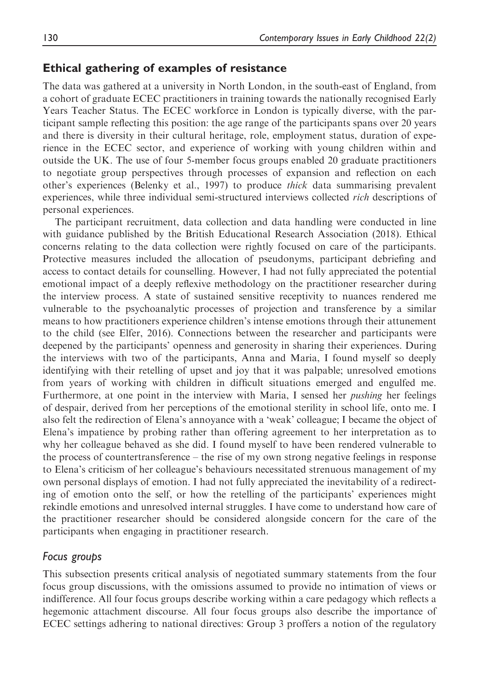## Ethical gathering of examples of resistance

The data was gathered at a university in North London, in the south-east of England, from a cohort of graduate ECEC practitioners in training towards the nationally recognised Early Years Teacher Status. The ECEC workforce in London is typically diverse, with the participant sample reflecting this position: the age range of the participants spans over 20 years and there is diversity in their cultural heritage, role, employment status, duration of experience in the ECEC sector, and experience of working with young children within and outside the UK. The use of four 5-member focus groups enabled 20 graduate practitioners to negotiate group perspectives through processes of expansion and reflection on each other's experiences (Belenky et al., 1997) to produce thick data summarising prevalent experiences, while three individual semi-structured interviews collected rich descriptions of personal experiences.

The participant recruitment, data collection and data handling were conducted in line with guidance published by the British Educational Research Association (2018). Ethical concerns relating to the data collection were rightly focused on care of the participants. Protective measures included the allocation of pseudonyms, participant debriefing and access to contact details for counselling. However, I had not fully appreciated the potential emotional impact of a deeply reflexive methodology on the practitioner researcher during the interview process. A state of sustained sensitive receptivity to nuances rendered me vulnerable to the psychoanalytic processes of projection and transference by a similar means to how practitioners experience children's intense emotions through their attunement to the child (see Elfer, 2016). Connections between the researcher and participants were deepened by the participants' openness and generosity in sharing their experiences. During the interviews with two of the participants, Anna and Maria, I found myself so deeply identifying with their retelling of upset and joy that it was palpable; unresolved emotions from years of working with children in difficult situations emerged and engulfed me. Furthermore, at one point in the interview with Maria, I sensed her *pushing* her feelings of despair, derived from her perceptions of the emotional sterility in school life, onto me. I also felt the redirection of Elena's annoyance with a 'weak' colleague; I became the object of Elena's impatience by probing rather than offering agreement to her interpretation as to why her colleague behaved as she did. I found myself to have been rendered vulnerable to the process of countertransference – the rise of my own strong negative feelings in response to Elena's criticism of her colleague's behaviours necessitated strenuous management of my own personal displays of emotion. I had not fully appreciated the inevitability of a redirecting of emotion onto the self, or how the retelling of the participants' experiences might rekindle emotions and unresolved internal struggles. I have come to understand how care of the practitioner researcher should be considered alongside concern for the care of the participants when engaging in practitioner research.

### Focus groups

This subsection presents critical analysis of negotiated summary statements from the four focus group discussions, with the omissions assumed to provide no intimation of views or indifference. All four focus groups describe working within a care pedagogy which reflects a hegemonic attachment discourse. All four focus groups also describe the importance of ECEC settings adhering to national directives: Group 3 proffers a notion of the regulatory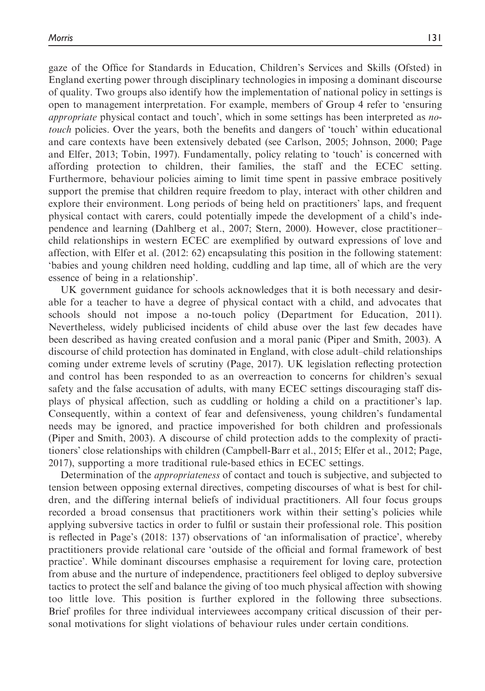gaze of the Office for Standards in Education, Children's Services and Skills (Ofsted) in England exerting power through disciplinary technologies in imposing a dominant discourse of quality. Two groups also identify how the implementation of national policy in settings is open to management interpretation. For example, members of Group 4 refer to 'ensuring *appropriate* physical contact and touch', which in some settings has been interpreted as *no*touch policies. Over the years, both the benefits and dangers of 'touch' within educational and care contexts have been extensively debated (see Carlson, 2005; Johnson, 2000; Page and Elfer, 2013; Tobin, 1997). Fundamentally, policy relating to 'touch' is concerned with affording protection to children, their families, the staff and the ECEC setting. Furthermore, behaviour policies aiming to limit time spent in passive embrace positively support the premise that children require freedom to play, interact with other children and explore their environment. Long periods of being held on practitioners' laps, and frequent physical contact with carers, could potentially impede the development of a child's independence and learning (Dahlberg et al., 2007; Stern, 2000). However, close practitioner– child relationships in western ECEC are exemplified by outward expressions of love and affection, with Elfer et al. (2012: 62) encapsulating this position in the following statement: 'babies and young children need holding, cuddling and lap time, all of which are the very essence of being in a relationship'.

UK government guidance for schools acknowledges that it is both necessary and desirable for a teacher to have a degree of physical contact with a child, and advocates that schools should not impose a no-touch policy (Department for Education, 2011). Nevertheless, widely publicised incidents of child abuse over the last few decades have been described as having created confusion and a moral panic (Piper and Smith, 2003). A discourse of child protection has dominated in England, with close adult–child relationships coming under extreme levels of scrutiny (Page, 2017). UK legislation reflecting protection and control has been responded to as an overreaction to concerns for children's sexual safety and the false accusation of adults, with many ECEC settings discouraging staff displays of physical affection, such as cuddling or holding a child on a practitioner's lap. Consequently, within a context of fear and defensiveness, young children's fundamental needs may be ignored, and practice impoverished for both children and professionals (Piper and Smith, 2003). A discourse of child protection adds to the complexity of practitioners' close relationships with children (Campbell-Barr et al., 2015; Elfer et al., 2012; Page, 2017), supporting a more traditional rule-based ethics in ECEC settings.

Determination of the appropriateness of contact and touch is subjective, and subjected to tension between opposing external directives, competing discourses of what is best for children, and the differing internal beliefs of individual practitioners. All four focus groups recorded a broad consensus that practitioners work within their setting's policies while applying subversive tactics in order to fulfil or sustain their professional role. This position is reflected in Page's (2018: 137) observations of 'an informalisation of practice', whereby practitioners provide relational care 'outside of the official and formal framework of best practice'. While dominant discourses emphasise a requirement for loving care, protection from abuse and the nurture of independence, practitioners feel obliged to deploy subversive tactics to protect the self and balance the giving of too much physical affection with showing too little love. This position is further explored in the following three subsections. Brief profiles for three individual interviewees accompany critical discussion of their personal motivations for slight violations of behaviour rules under certain conditions.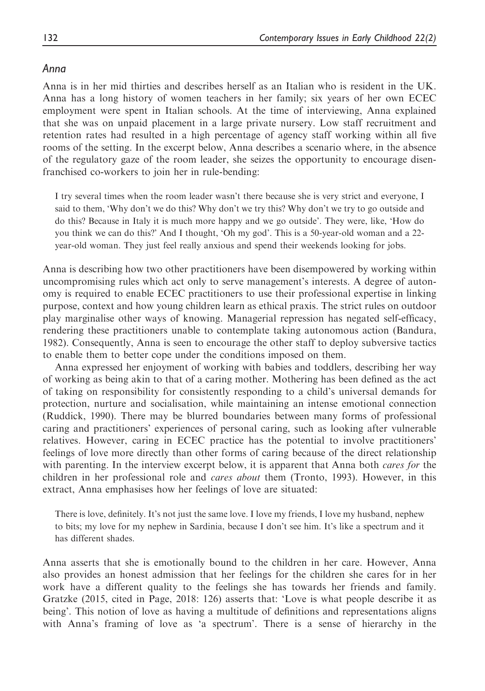### Anna

Anna is in her mid thirties and describes herself as an Italian who is resident in the UK. Anna has a long history of women teachers in her family; six years of her own ECEC employment were spent in Italian schools. At the time of interviewing, Anna explained that she was on unpaid placement in a large private nursery. Low staff recruitment and retention rates had resulted in a high percentage of agency staff working within all five rooms of the setting. In the excerpt below, Anna describes a scenario where, in the absence of the regulatory gaze of the room leader, she seizes the opportunity to encourage disenfranchised co-workers to join her in rule-bending:

I try several times when the room leader wasn't there because she is very strict and everyone, I said to them, 'Why don't we do this? Why don't we try this? Why don't we try to go outside and do this? Because in Italy it is much more happy and we go outside'. They were, like, 'How do you think we can do this?' And I thought, 'Oh my god'. This is a 50-year-old woman and a 22 year-old woman. They just feel really anxious and spend their weekends looking for jobs.

Anna is describing how two other practitioners have been disempowered by working within uncompromising rules which act only to serve management's interests. A degree of autonomy is required to enable ECEC practitioners to use their professional expertise in linking purpose, context and how young children learn as ethical praxis. The strict rules on outdoor play marginalise other ways of knowing. Managerial repression has negated self-efficacy, rendering these practitioners unable to contemplate taking autonomous action (Bandura, 1982). Consequently, Anna is seen to encourage the other staff to deploy subversive tactics to enable them to better cope under the conditions imposed on them.

Anna expressed her enjoyment of working with babies and toddlers, describing her way of working as being akin to that of a caring mother. Mothering has been defined as the act of taking on responsibility for consistently responding to a child's universal demands for protection, nurture and socialisation, while maintaining an intense emotional connection (Ruddick, 1990). There may be blurred boundaries between many forms of professional caring and practitioners' experiences of personal caring, such as looking after vulnerable relatives. However, caring in ECEC practice has the potential to involve practitioners' feelings of love more directly than other forms of caring because of the direct relationship with parenting. In the interview excerpt below, it is apparent that Anna both *cares for* the children in her professional role and *cares about* them (Tronto, 1993). However, in this extract, Anna emphasises how her feelings of love are situated:

There is love, definitely. It's not just the same love. I love my friends, I love my husband, nephew to bits; my love for my nephew in Sardinia, because I don't see him. It's like a spectrum and it has different shades.

Anna asserts that she is emotionally bound to the children in her care. However, Anna also provides an honest admission that her feelings for the children she cares for in her work have a different quality to the feelings she has towards her friends and family. Gratzke (2015, cited in Page, 2018: 126) asserts that: 'Love is what people describe it as being'. This notion of love as having a multitude of definitions and representations aligns with Anna's framing of love as 'a spectrum'. There is a sense of hierarchy in the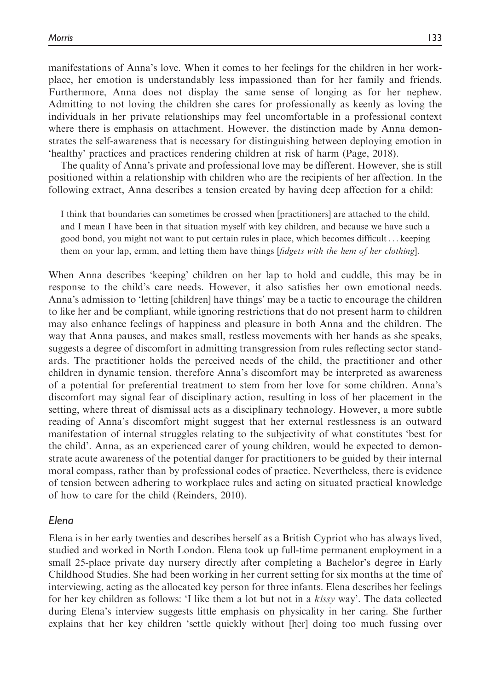manifestations of Anna's love. When it comes to her feelings for the children in her workplace, her emotion is understandably less impassioned than for her family and friends. Furthermore, Anna does not display the same sense of longing as for her nephew. Admitting to not loving the children she cares for professionally as keenly as loving the individuals in her private relationships may feel uncomfortable in a professional context where there is emphasis on attachment. However, the distinction made by Anna demonstrates the self-awareness that is necessary for distinguishing between deploying emotion in 'healthy' practices and practices rendering children at risk of harm (Page, 2018).

The quality of Anna's private and professional love may be different. However, she is still positioned within a relationship with children who are the recipients of her affection. In the following extract, Anna describes a tension created by having deep affection for a child:

I think that boundaries can sometimes be crossed when [practitioners] are attached to the child, and I mean I have been in that situation myself with key children, and because we have such a good bond, you might not want to put certain rules in place, which becomes difficult... keeping them on your lap, ermm, and letting them have things [fidgets with the hem of her clothing].

When Anna describes 'keeping' children on her lap to hold and cuddle, this may be in response to the child's care needs. However, it also satisfies her own emotional needs. Anna's admission to 'letting [children] have things' may be a tactic to encourage the children to like her and be compliant, while ignoring restrictions that do not present harm to children may also enhance feelings of happiness and pleasure in both Anna and the children. The way that Anna pauses, and makes small, restless movements with her hands as she speaks, suggests a degree of discomfort in admitting transgression from rules reflecting sector standards. The practitioner holds the perceived needs of the child, the practitioner and other children in dynamic tension, therefore Anna's discomfort may be interpreted as awareness of a potential for preferential treatment to stem from her love for some children. Anna's discomfort may signal fear of disciplinary action, resulting in loss of her placement in the setting, where threat of dismissal acts as a disciplinary technology. However, a more subtle reading of Anna's discomfort might suggest that her external restlessness is an outward manifestation of internal struggles relating to the subjectivity of what constitutes 'best for the child'. Anna, as an experienced carer of young children, would be expected to demonstrate acute awareness of the potential danger for practitioners to be guided by their internal moral compass, rather than by professional codes of practice. Nevertheless, there is evidence of tension between adhering to workplace rules and acting on situated practical knowledge of how to care for the child (Reinders, 2010).

### Elena

Elena is in her early twenties and describes herself as a British Cypriot who has always lived, studied and worked in North London. Elena took up full-time permanent employment in a small 25-place private day nursery directly after completing a Bachelor's degree in Early Childhood Studies. She had been working in her current setting for six months at the time of interviewing, acting as the allocated key person for three infants. Elena describes her feelings for her key children as follows: 'I like them a lot but not in a kissy way'. The data collected during Elena's interview suggests little emphasis on physicality in her caring. She further explains that her key children 'settle quickly without [her] doing too much fussing over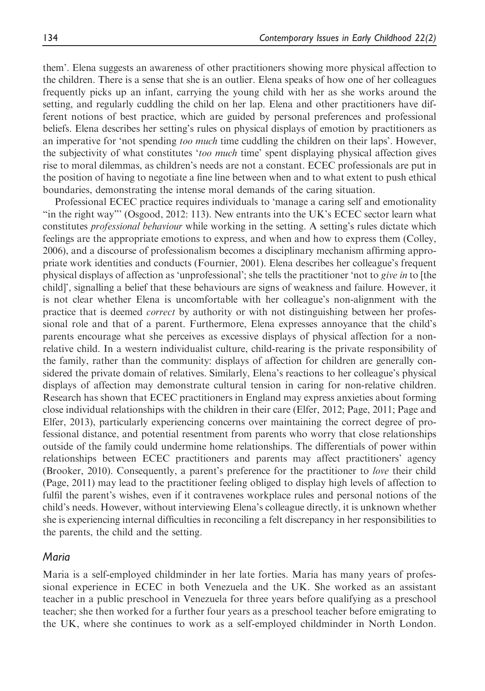them'. Elena suggests an awareness of other practitioners showing more physical affection to the children. There is a sense that she is an outlier. Elena speaks of how one of her colleagues frequently picks up an infant, carrying the young child with her as she works around the setting, and regularly cuddling the child on her lap. Elena and other practitioners have different notions of best practice, which are guided by personal preferences and professional beliefs. Elena describes her setting's rules on physical displays of emotion by practitioners as an imperative for 'not spending *too much* time cuddling the children on their laps'. However, the subjectivity of what constitutes 'too much time' spent displaying physical affection gives rise to moral dilemmas, as children's needs are not a constant. ECEC professionals are put in the position of having to negotiate a fine line between when and to what extent to push ethical boundaries, demonstrating the intense moral demands of the caring situation.

Professional ECEC practice requires individuals to 'manage a caring self and emotionality "in the right way"' (Osgood, 2012: 113). New entrants into the UK's ECEC sector learn what constitutes professional behaviour while working in the setting. A setting's rules dictate which feelings are the appropriate emotions to express, and when and how to express them (Colley, 2006), and a discourse of professionalism becomes a disciplinary mechanism affirming appropriate work identities and conducts (Fournier, 2001). Elena describes her colleague's frequent physical displays of affection as 'unprofessional'; she tells the practitioner 'not to give in to [the child]', signalling a belief that these behaviours are signs of weakness and failure. However, it is not clear whether Elena is uncomfortable with her colleague's non-alignment with the practice that is deemed correct by authority or with not distinguishing between her professional role and that of a parent. Furthermore, Elena expresses annoyance that the child's parents encourage what she perceives as excessive displays of physical affection for a nonrelative child. In a western individualist culture, child-rearing is the private responsibility of the family, rather than the community: displays of affection for children are generally considered the private domain of relatives. Similarly, Elena's reactions to her colleague's physical displays of affection may demonstrate cultural tension in caring for non-relative children. Research has shown that ECEC practitioners in England may express anxieties about forming close individual relationships with the children in their care (Elfer, 2012; Page, 2011; Page and Elfer, 2013), particularly experiencing concerns over maintaining the correct degree of professional distance, and potential resentment from parents who worry that close relationships outside of the family could undermine home relationships. The differentials of power within relationships between ECEC practitioners and parents may affect practitioners' agency (Brooker, 2010). Consequently, a parent's preference for the practitioner to love their child (Page, 2011) may lead to the practitioner feeling obliged to display high levels of affection to fulfil the parent's wishes, even if it contravenes workplace rules and personal notions of the child's needs. However, without interviewing Elena's colleague directly, it is unknown whether she is experiencing internal difficulties in reconciling a felt discrepancy in her responsibilities to the parents, the child and the setting.

#### Maria

Maria is a self-employed childminder in her late forties. Maria has many years of professional experience in ECEC in both Venezuela and the UK. She worked as an assistant teacher in a public preschool in Venezuela for three years before qualifying as a preschool teacher; she then worked for a further four years as a preschool teacher before emigrating to the UK, where she continues to work as a self-employed childminder in North London.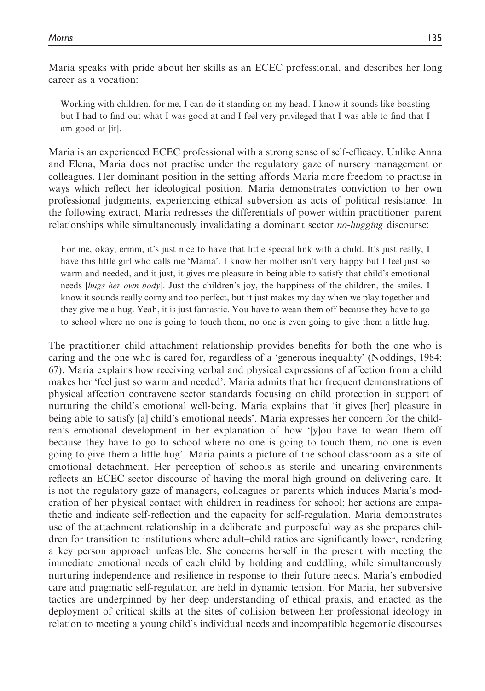Maria speaks with pride about her skills as an ECEC professional, and describes her long career as a vocation:

Working with children, for me, I can do it standing on my head. I know it sounds like boasting but I had to find out what I was good at and I feel very privileged that I was able to find that I am good at [it].

Maria is an experienced ECEC professional with a strong sense of self-efficacy. Unlike Anna and Elena, Maria does not practise under the regulatory gaze of nursery management or colleagues. Her dominant position in the setting affords Maria more freedom to practise in ways which reflect her ideological position. Maria demonstrates conviction to her own professional judgments, experiencing ethical subversion as acts of political resistance. In the following extract, Maria redresses the differentials of power within practitioner–parent relationships while simultaneously invalidating a dominant sector *no-hugging* discourse:

For me, okay, ermm, it's just nice to have that little special link with a child. It's just really, I have this little girl who calls me 'Mama'. I know her mother isn't very happy but I feel just so warm and needed, and it just, it gives me pleasure in being able to satisfy that child's emotional needs [hugs her own body]. Just the children's joy, the happiness of the children, the smiles. I know it sounds really corny and too perfect, but it just makes my day when we play together and they give me a hug. Yeah, it is just fantastic. You have to wean them off because they have to go to school where no one is going to touch them, no one is even going to give them a little hug.

The practitioner–child attachment relationship provides benefits for both the one who is caring and the one who is cared for, regardless of a 'generous inequality' (Noddings, 1984: 67). Maria explains how receiving verbal and physical expressions of affection from a child makes her 'feel just so warm and needed'. Maria admits that her frequent demonstrations of physical affection contravene sector standards focusing on child protection in support of nurturing the child's emotional well-being. Maria explains that 'it gives [her] pleasure in being able to satisfy [a] child's emotional needs'. Maria expresses her concern for the children's emotional development in her explanation of how '[y]ou have to wean them off because they have to go to school where no one is going to touch them, no one is even going to give them a little hug'. Maria paints a picture of the school classroom as a site of emotional detachment. Her perception of schools as sterile and uncaring environments reflects an ECEC sector discourse of having the moral high ground on delivering care. It is not the regulatory gaze of managers, colleagues or parents which induces Maria's moderation of her physical contact with children in readiness for school; her actions are empathetic and indicate self-reflection and the capacity for self-regulation. Maria demonstrates use of the attachment relationship in a deliberate and purposeful way as she prepares children for transition to institutions where adult–child ratios are significantly lower, rendering a key person approach unfeasible. She concerns herself in the present with meeting the immediate emotional needs of each child by holding and cuddling, while simultaneously nurturing independence and resilience in response to their future needs. Maria's embodied care and pragmatic self-regulation are held in dynamic tension. For Maria, her subversive tactics are underpinned by her deep understanding of ethical praxis, and enacted as the deployment of critical skills at the sites of collision between her professional ideology in relation to meeting a young child's individual needs and incompatible hegemonic discourses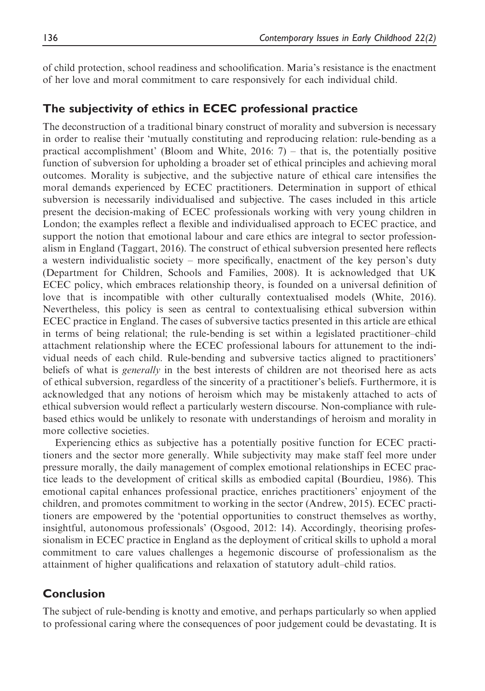of child protection, school readiness and schoolification. Maria's resistance is the enactment of her love and moral commitment to care responsively for each individual child.

# The subjectivity of ethics in ECEC professional practice

The deconstruction of a traditional binary construct of morality and subversion is necessary in order to realise their 'mutually constituting and reproducing relation: rule-bending as a practical accomplishment' (Bloom and White,  $2016$ : 7) – that is, the potentially positive function of subversion for upholding a broader set of ethical principles and achieving moral outcomes. Morality is subjective, and the subjective nature of ethical care intensifies the moral demands experienced by ECEC practitioners. Determination in support of ethical subversion is necessarily individualised and subjective. The cases included in this article present the decision-making of ECEC professionals working with very young children in London; the examples reflect a flexible and individualised approach to ECEC practice, and support the notion that emotional labour and care ethics are integral to sector professionalism in England (Taggart, 2016). The construct of ethical subversion presented here reflects a western individualistic society – more specifically, enactment of the key person's duty (Department for Children, Schools and Families, 2008). It is acknowledged that UK ECEC policy, which embraces relationship theory, is founded on a universal definition of love that is incompatible with other culturally contextualised models (White, 2016). Nevertheless, this policy is seen as central to contextualising ethical subversion within ECEC practice in England. The cases of subversive tactics presented in this article are ethical in terms of being relational; the rule-bending is set within a legislated practitioner–child attachment relationship where the ECEC professional labours for attunement to the individual needs of each child. Rule-bending and subversive tactics aligned to practitioners' beliefs of what is *generally* in the best interests of children are not theorised here as acts of ethical subversion, regardless of the sincerity of a practitioner's beliefs. Furthermore, it is acknowledged that any notions of heroism which may be mistakenly attached to acts of ethical subversion would reflect a particularly western discourse. Non-compliance with rulebased ethics would be unlikely to resonate with understandings of heroism and morality in more collective societies.

Experiencing ethics as subjective has a potentially positive function for ECEC practitioners and the sector more generally. While subjectivity may make staff feel more under pressure morally, the daily management of complex emotional relationships in ECEC practice leads to the development of critical skills as embodied capital (Bourdieu, 1986). This emotional capital enhances professional practice, enriches practitioners' enjoyment of the children, and promotes commitment to working in the sector (Andrew, 2015). ECEC practitioners are empowered by the 'potential opportunities to construct themselves as worthy, insightful, autonomous professionals' (Osgood, 2012: 14). Accordingly, theorising professionalism in ECEC practice in England as the deployment of critical skills to uphold a moral commitment to care values challenges a hegemonic discourse of professionalism as the attainment of higher qualifications and relaxation of statutory adult–child ratios.

# Conclusion

The subject of rule-bending is knotty and emotive, and perhaps particularly so when applied to professional caring where the consequences of poor judgement could be devastating. It is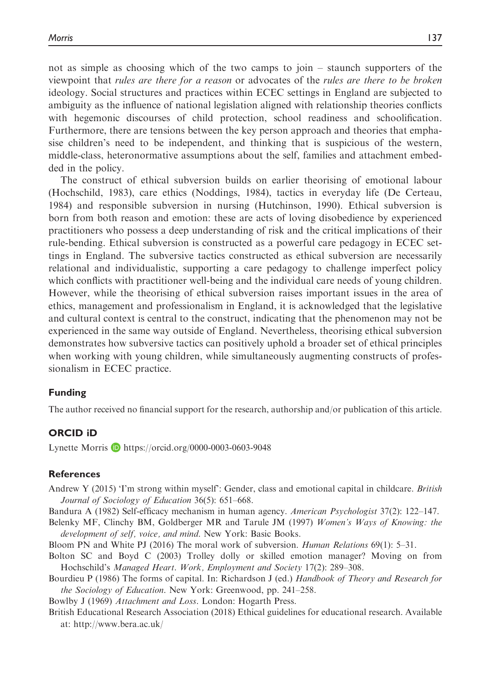not as simple as choosing which of the two camps to join – staunch supporters of the viewpoint that rules are there for a reason or advocates of the rules are there to be broken ideology. Social structures and practices within ECEC settings in England are subjected to ambiguity as the influence of national legislation aligned with relationship theories conflicts with hegemonic discourses of child protection, school readiness and schoolification. Furthermore, there are tensions between the key person approach and theories that emphasise children's need to be independent, and thinking that is suspicious of the western, middle-class, heteronormative assumptions about the self, families and attachment embedded in the policy.

The construct of ethical subversion builds on earlier theorising of emotional labour (Hochschild, 1983), care ethics (Noddings, 1984), tactics in everyday life (De Certeau, 1984) and responsible subversion in nursing (Hutchinson, 1990). Ethical subversion is born from both reason and emotion: these are acts of loving disobedience by experienced practitioners who possess a deep understanding of risk and the critical implications of their rule-bending. Ethical subversion is constructed as a powerful care pedagogy in ECEC settings in England. The subversive tactics constructed as ethical subversion are necessarily relational and individualistic, supporting a care pedagogy to challenge imperfect policy which conflicts with practitioner well-being and the individual care needs of young children. However, while the theorising of ethical subversion raises important issues in the area of ethics, management and professionalism in England, it is acknowledged that the legislative and cultural context is central to the construct, indicating that the phenomenon may not be experienced in the same way outside of England. Nevertheless, theorising ethical subversion demonstrates how subversive tactics can positively uphold a broader set of ethical principles when working with young children, while simultaneously augmenting constructs of professionalism in ECEC practice.

#### Funding

The author received no financial support for the research, authorship and/or publication of this article.

#### ORCID iD

Lynette Morris  $\blacksquare$  <https://orcid.org/0000-0003-0603-9048>

#### References

Andrew Y (2015) 'I'm strong within myself': Gender, class and emotional capital in childcare. British Journal of Sociology of Education 36(5): 651–668.

Bandura A (1982) Self-efficacy mechanism in human agency. American Psychologist 37(2): 122–147.

Belenky MF, Clinchy BM, Goldberger MR and Tarule JM (1997) Women's Ways of Knowing: the development of self, voice, and mind. New York: Basic Books.

Bloom PN and White PJ (2016) The moral work of subversion. Human Relations 69(1): 5–31.

Bolton SC and Boyd C (2003) Trolley dolly or skilled emotion manager? Moving on from Hochschild's Managed Heart. Work, Employment and Society 17(2): 289–308.

Bourdieu P (1986) The forms of capital. In: Richardson J (ed.) Handbook of Theory and Research for the Sociology of Education. New York: Greenwood, pp. 241–258.

Bowlby J (1969) Attachment and Loss. London: Hogarth Press.

British Educational Research Association (2018) Ethical guidelines for educational research. Available at:<http://www.bera.ac.uk/>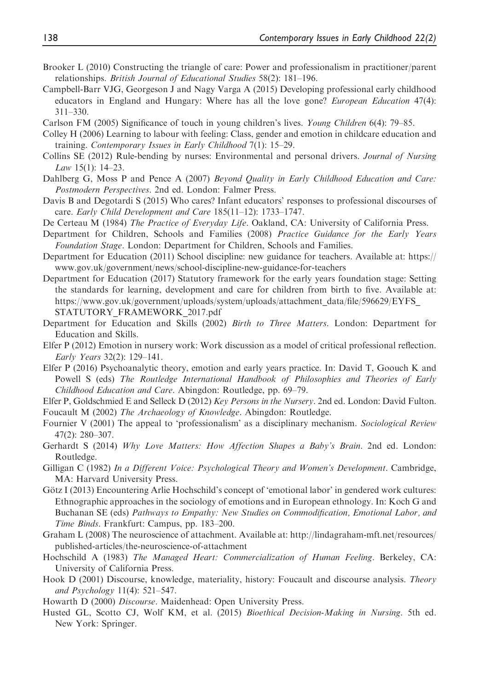- Brooker L (2010) Constructing the triangle of care: Power and professionalism in practitioner/parent relationships. British Journal of Educational Studies 58(2): 181–196.
- Campbell-Barr VJG, Georgeson J and Nagy Varga A (2015) Developing professional early childhood educators in England and Hungary: Where has all the love gone? *European Education* 47(4): 311–330.
- Carlson FM (2005) Significance of touch in young children's lives. Young Children 6(4): 79–85.
- Colley H (2006) Learning to labour with feeling: Class, gender and emotion in childcare education and training. Contemporary Issues in Early Childhood 7(1): 15–29.
- Collins SE (2012) Rule-bending by nurses: Environmental and personal drivers. Journal of Nursing Law 15(1): 14–23.
- Dahlberg G, Moss P and Pence A (2007) Beyond Quality in Early Childhood Education and Care: Postmodern Perspectives. 2nd ed. London: Falmer Press.
- Davis B and Degotardi S (2015) Who cares? Infant educators' responses to professional discourses of care. Early Child Development and Care 185(11–12): 1733–1747.
- De Certeau M (1984) The Practice of Everyday Life. Oakland, CA: University of California Press.
- Department for Children, Schools and Families (2008) Practice Guidance for the Early Years Foundation Stage. London: Department for Children, Schools and Families.
- Department for Education (2011) School discipline: new guidance for teachers. Available at: [https://](https://www.gov.uk/government/news/school-discipline-new-guidance-for-teachers) [www.gov.uk/government/news/school-discipline-new-guidance-for-teachers](https://www.gov.uk/government/news/school-discipline-new-guidance-for-teachers)
- Department for Education (2017) Statutory framework for the early years foundation stage: Setting the standards for learning, development and care for children from birth to five. Available at: [https://www.gov.uk/government/uploads/system/uploads/attachment\\_data/file/596629/EYFS\\_](https://www.gov.uk/government/uploads/system/uploads/attachment_data/file/596629/EYFS_STATUTORY_FRAMEWORK_2017.pdf) [STATUTORY\\_FRAMEWORK\\_2017.pdf](https://www.gov.uk/government/uploads/system/uploads/attachment_data/file/596629/EYFS_STATUTORY_FRAMEWORK_2017.pdf)
- Department for Education and Skills (2002) Birth to Three Matters. London: Department for Education and Skills.
- Elfer P (2012) Emotion in nursery work: Work discussion as a model of critical professional reflection. Early Years 32(2): 129–141.
- Elfer P (2016) Psychoanalytic theory, emotion and early years practice. In: David T, Goouch K and Powell S (eds) The Routledge International Handbook of Philosophies and Theories of Early Childhood Education and Care. Abingdon: Routledge, pp. 69–79.
- Elfer P, Goldschmied E and Selleck D (2012) Key Persons in the Nursery. 2nd ed. London: David Fulton. Foucault M (2002) The Archaeology of Knowledge. Abingdon: Routledge.
- Fournier V (2001) The appeal to 'professionalism' as a disciplinary mechanism. Sociological Review 47(2): 280–307.
- Gerhardt S (2014) Why Love Matters: How Affection Shapes a Baby's Brain. 2nd ed. London: Routledge.
- Gilligan C (1982) In a Different Voice: Psychological Theory and Women's Development. Cambridge, MA: Harvard University Press.
- Götz I (2013) Encountering Arlie Hochschild's concept of 'emotional labor' in gendered work cultures: Ethnographic approaches in the sociology of emotions and in European ethnology. In: Koch G and Buchanan SE (eds) Pathways to Empathy: New Studies on Commodification, Emotional Labor, and Time Binds. Frankfurt: Campus, pp. 183–200.
- Graham L (2008) The neuroscience of attachment. Available at: [http://lindagraham-mft.net/resources/](http://lindagraham-mft.net/resources/published-articles/the-neuroscience-of-attachment) [published-articles/the-neuroscience-of-attachment](http://lindagraham-mft.net/resources/published-articles/the-neuroscience-of-attachment)
- Hochschild A (1983) The Managed Heart: Commercialization of Human Feeling. Berkeley, CA: University of California Press.
- Hook D (2001) Discourse, knowledge, materiality, history: Foucault and discourse analysis. Theory and Psychology 11(4): 521–547.
- Howarth D (2000) Discourse. Maidenhead: Open University Press.
- Husted GL, Scotto CJ, Wolf KM, et al. (2015) Bioethical Decision-Making in Nursing. 5th ed. New York: Springer.